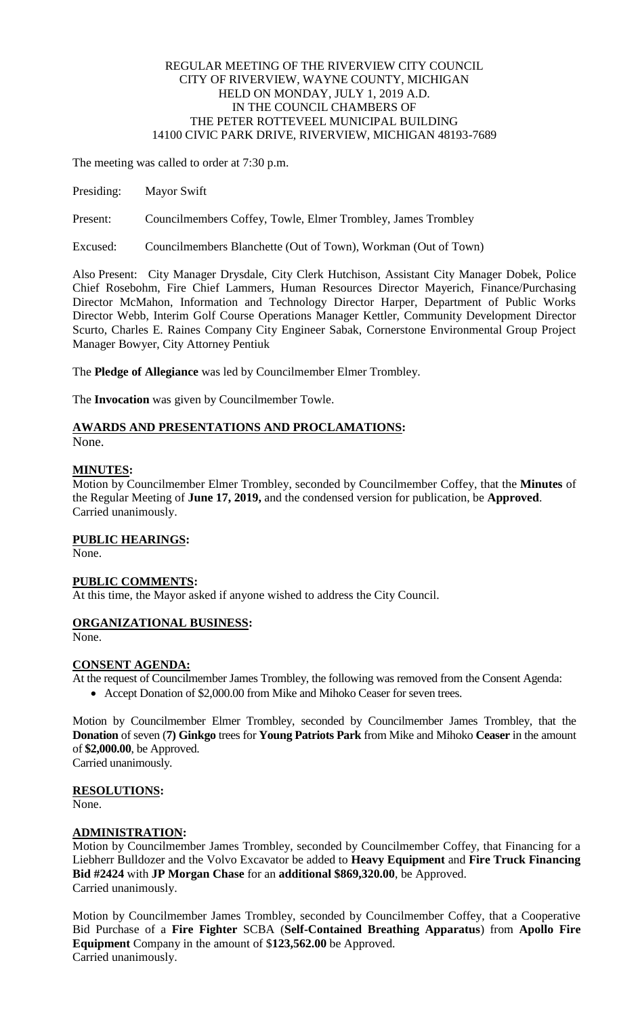### REGULAR MEETING OF THE RIVERVIEW CITY COUNCIL CITY OF RIVERVIEW, WAYNE COUNTY, MICHIGAN HELD ON MONDAY, JULY 1, 2019 A.D. IN THE COUNCIL CHAMBERS OF THE PETER ROTTEVEEL MUNICIPAL BUILDING 14100 CIVIC PARK DRIVE, RIVERVIEW, MICHIGAN 48193-7689

The meeting was called to order at 7:30 p.m.

- Presiding: Mayor Swift
- Present: Councilmembers Coffey, Towle, Elmer Trombley, James Trombley

Excused: Councilmembers Blanchette (Out of Town), Workman (Out of Town)

Also Present: City Manager Drysdale, City Clerk Hutchison, Assistant City Manager Dobek, Police Chief Rosebohm, Fire Chief Lammers, Human Resources Director Mayerich, Finance/Purchasing Director McMahon, Information and Technology Director Harper, Department of Public Works Director Webb, Interim Golf Course Operations Manager Kettler, Community Development Director Scurto, Charles E. Raines Company City Engineer Sabak, Cornerstone Environmental Group Project Manager Bowyer, City Attorney Pentiuk

The **Pledge of Allegiance** was led by Councilmember Elmer Trombley.

The **Invocation** was given by Councilmember Towle.

### **AWARDS AND PRESENTATIONS AND PROCLAMATIONS:**

None.

#### **MINUTES:**

Motion by Councilmember Elmer Trombley, seconded by Councilmember Coffey, that the **Minutes** of the Regular Meeting of **June 17, 2019,** and the condensed version for publication, be **Approved**. Carried unanimously.

## **PUBLIC HEARINGS:**

None.

### **PUBLIC COMMENTS:**

At this time, the Mayor asked if anyone wished to address the City Council.

### **ORGANIZATIONAL BUSINESS:**

None.

### **CONSENT AGENDA:**

At the request of Councilmember James Trombley, the following was removed from the Consent Agenda: Accept Donation of \$2,000.00 from Mike and Mihoko Ceaser for seven trees.

Motion by Councilmember Elmer Trombley, seconded by Councilmember James Trombley, that the **Donation** of seven (**7) Ginkgo** trees for **Young Patriots Park** from Mike and Mihoko **Ceaser** in the amount of **\$2,000.00**, be Approved. Carried unanimously.

# **RESOLUTIONS:**

None.

### **ADMINISTRATION:**

Motion by Councilmember James Trombley, seconded by Councilmember Coffey, that Financing for a Liebherr Bulldozer and the Volvo Excavator be added to **Heavy Equipment** and **Fire Truck Financing Bid #2424** with **JP Morgan Chase** for an **additional \$869,320.00**, be Approved. Carried unanimously.

Motion by Councilmember James Trombley, seconded by Councilmember Coffey, that a Cooperative Bid Purchase of a **Fire Fighter** SCBA (**Self-Contained Breathing Apparatus**) from **Apollo Fire Equipment** Company in the amount of \$**123,562.00** be Approved. Carried unanimously.